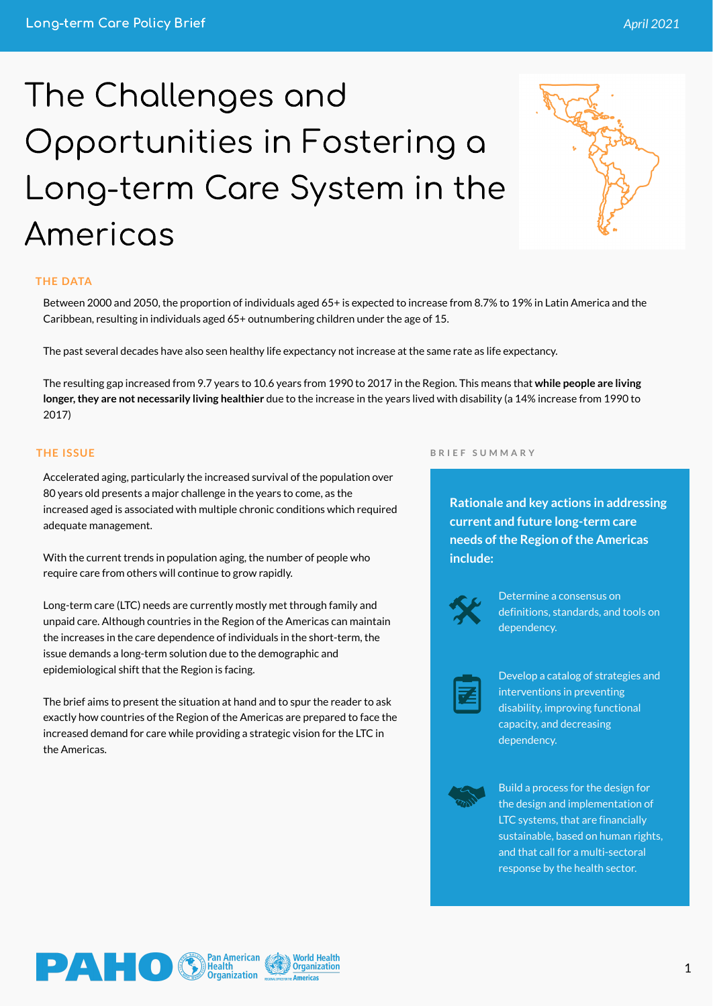**Rationale and key actions in addressing current and future long-term care needs of the Region of the Americas include:**



Determine a consensus on definitions, standards, and tools on dependency.



Develop a catalog of strategies and interventions in preventing disability, improving functional capacity, and decreasing dependency.

Build a process for the design for the design and implementation of LTC systems, that are financially sustainable, based on human rights, and that call for a multi-sectoral response by the health sector.

# The Challenges and Opportunities in Fostering a Long-term Care System in the Americas



#### **THE DATA**

## **THE ISSUE**

Between 2000 and 2050, the proportion of individuals aged 65+ is expected to increase from 8.7% to 19% in Latin America and the Caribbean, resulting in individuals aged 65+ outnumbering children under the age of 15.

The past several decades have also seen healthy life expectancy not increase at the same rate as life expectancy.

The resulting gap increased from 9.7 years to 10.6 years from 1990 to 2017 in the Region. This means that **while people are living longer,they are not necessarily living healthier** due to the increase in the years lived with disability (a 14% increase from 1990 to 2017)

Accelerated aging, particularly the increased survival of the population over 80 years old presents a major challenge in the years to come, as the increased aged is associated with multiple chronic conditions which required adequate management.

With the current trends in population aging, the number of people who require care from others will continue to grow rapidly.

Long-term care (LTC) needs are currently mostly met through family and unpaid care. Although countries in the Region of the Americas can maintain the increases in the care dependence of individuals in the short-term, the issue demands a long-term solution due to the demographic and epidemiological shift that the Region is facing.

The brief aims to present the situation at hand and to spur the reader to ask

exactly how countries of the Region of the Americas are prepared to face the increased demand for care while providing a strategic vision for the LTC in the Americas.



#### **B R I E F S U M M A R Y**

1

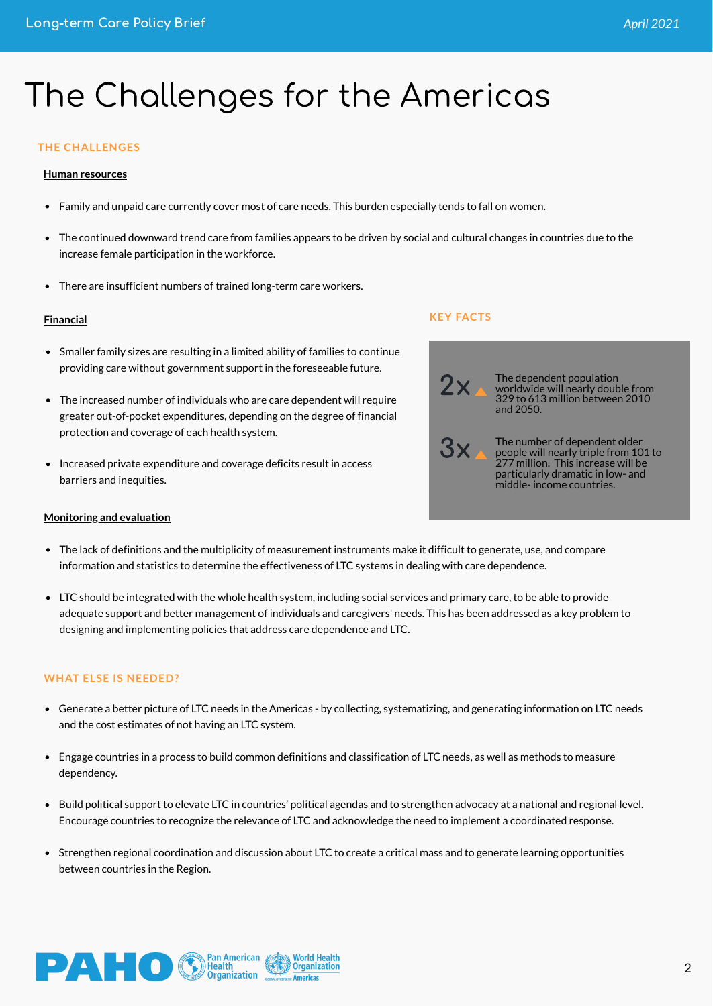# The Challenges for the Americas

#### **Financial**

Smaller family sizes are resulting in a limited ability of families to continue providing care without government support in the foreseeable future.

- The increased number of individuals who are care dependent will require greater out-of-pocket expenditures, depending on the degree of financial protection and coverage of each health system.
- Increased private expenditure and coverage deficits result in access barriers and inequities.

#### **WHAT ELSE IS NEEDED?**

- Generate a better picture of LTC needs in the Americas by collecting, systematizing, and generating information on LTC needs and the cost estimates of not having an LTC system.
- Engage countries in a process to build common definitions and classification of LTC needs, as well as methods to measure dependency.
- Build political support to elevate LTC in countries' political agendas and to strengthen advocacy at a national and regional level. Encourage countries to recognize the relevance of LTC and acknowledge the need to implement a coordinated response.
- Strengthen regional coordination and discussion about LTC to create a critical mass and to generate learning opportunities between countries in the Region.





The dependent population worldwide will nearly double from 329 to 613 million between 2010 and 2050.

The number of dependent older people will nearly triple from 101 to 277 million. This increase will be particularly dramatic in low- and middle- income countries.

#### **KEY FACTS**



#### **Human resources**

- Family and unpaid care currently cover most of care needs. This burden especially tends to fall on women.
- The continued downward trend care from families appears to be driven by social and cultural changes in countries due to the increase female participation in the workforce.
- There are insufficient numbers of trained long-term care workers.



- The lack of definitions and the multiplicity of measurement instruments make it difficult to generate, use, and compare information and statistics to determine the effectiveness of LTC systems in dealing with care dependence.
- LTC should be integrated with the whole health system, including social services and primary care, to be able to provide adequate support and better management of individuals and caregivers' needs. This has been addressed as a key problem to designing and implementing policies that address care dependence and LTC.

### **THE CHALLENGES**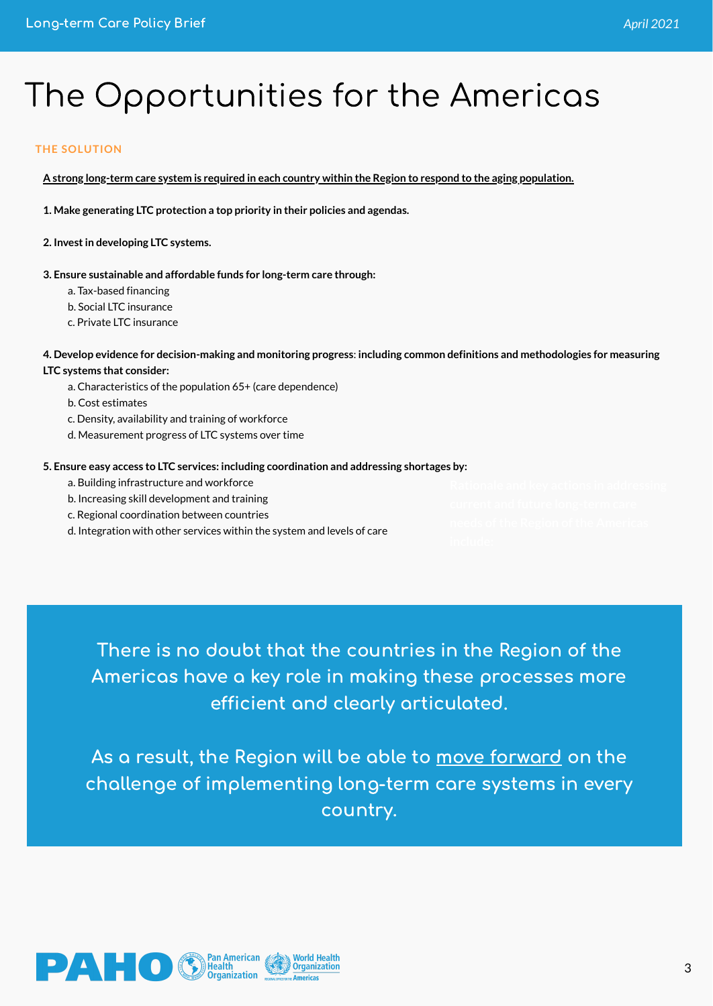# The Opportunities for the Americas

#### **THE SOLUTION**

<u>A strong long-term care system is required in each country within the Region to respond to the aging population.</u>

**1. Make generating LTC protection a top priority in their policies and agendas.**

**2. Investin developing LTC systems.**

4. Develop evidence for decision-making and monitoring progress: including common definitions and methodologies for measuring **LTC systems that consider:**

**3. Ensure sustainable and affordable funds for long-term care through:**

a. Tax-based financing

b. Social LTC insurance

c. Private LTC insurance

a. Characteristics of the population 65+ (care dependence)

b. Cost estimates

c. Density, availability and training of workforce

As a result, the Region will be able to <u>move forward</u> on the challenge of implementing long-term care systems in every country.



d. Measurement progress of LTC systems over time

#### **5. Ensure easy access to LTC services: including coordination and addressing shortages by:**

- a. Building infrastructure and workforce
- b. Increasing skill development and training
- c. Regional coordination between countries
- d. Integration with other services within the system and levels of care

There is no doubt that the countries in the Region of the Americas have a key role in making these processes more efficient and clearly articulated.

3